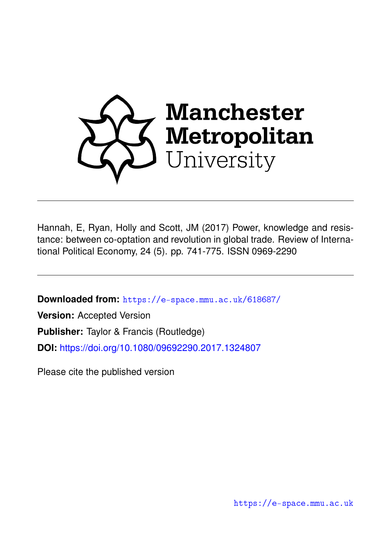

Hannah, E, Ryan, Holly and Scott, JM (2017) Power, knowledge and resistance: between co-optation and revolution in global trade. Review of International Political Economy, 24 (5). pp. 741-775. ISSN 0969-2290

**Downloaded from:** <https://e-space.mmu.ac.uk/618687/> **Version:** Accepted Version **Publisher:** Taylor & Francis (Routledge)

**DOI:** <https://doi.org/10.1080/09692290.2017.1324807>

Please cite the published version

<https://e-space.mmu.ac.uk>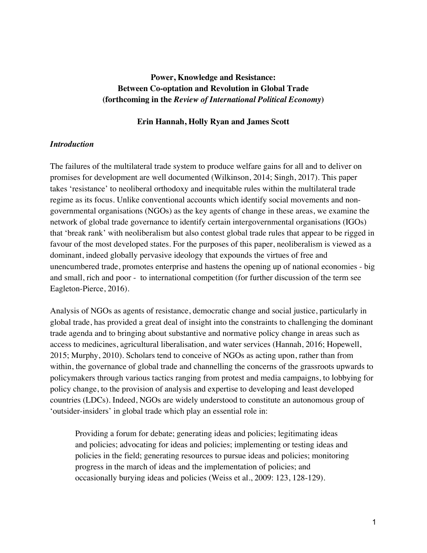# **Power, Knowledge and Resistance: Between Co-optation and Revolution in Global Trade (forthcoming in the** *Review of International Political Economy***)**

#### **Erin Hannah, Holly Ryan and James Scott**

#### *Introduction*

The failures of the multilateral trade system to produce welfare gains for all and to deliver on promises for development are well documented (Wilkinson, 2014; Singh, 2017). This paper takes 'resistance' to neoliberal orthodoxy and inequitable rules within the multilateral trade regime as its focus. Unlike conventional accounts which identify social movements and nongovernmental organisations (NGOs) as the key agents of change in these areas, we examine the network of global trade governance to identify certain intergovernmental organisations (IGOs) that 'break rank' with neoliberalism but also contest global trade rules that appear to be rigged in favour of the most developed states. For the purposes of this paper, neoliberalism is viewed as a dominant, indeed globally pervasive ideology that expounds the virtues of free and unencumbered trade, promotes enterprise and hastens the opening up of national economies - big and small, rich and poor - to international competition (for further discussion of the term see Eagleton-Pierce, 2016).

Analysis of NGOs as agents of resistance, democratic change and social justice, particularly in global trade, has provided a great deal of insight into the constraints to challenging the dominant trade agenda and to bringing about substantive and normative policy change in areas such as access to medicines, agricultural liberalisation, and water services (Hannah, 2016; Hopewell, 2015; Murphy, 2010). Scholars tend to conceive of NGOs as acting upon, rather than from within, the governance of global trade and channelling the concerns of the grassroots upwards to policymakers through various tactics ranging from protest and media campaigns, to lobbying for policy change, to the provision of analysis and expertise to developing and least developed countries (LDCs). Indeed, NGOs are widely understood to constitute an autonomous group of 'outsider-insiders' in global trade which play an essential role in:

Providing a forum for debate; generating ideas and policies; legitimating ideas and policies; advocating for ideas and policies; implementing or testing ideas and policies in the field; generating resources to pursue ideas and policies; monitoring progress in the march of ideas and the implementation of policies; and occasionally burying ideas and policies (Weiss et al., 2009: 123, 128-129).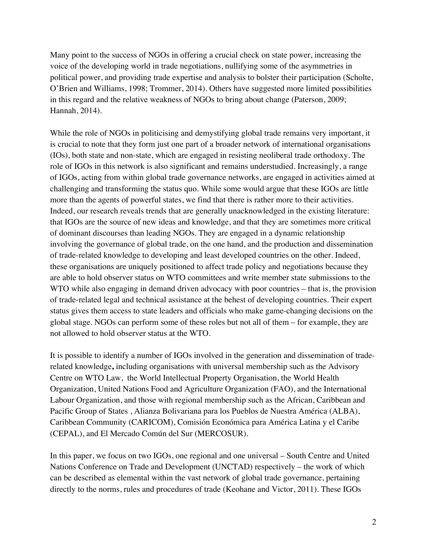Many point to the success of NGOs in offering a crucial check on state power, increasing the voice of the developing world in trade negotiations, nullifying some of the asymmetries in political power, and providing trade expertise and analysis to bolster their participation (Scholte, O'Brien and Williams, 1998; Trommer, 2014). Others have suggested more limited possibilities in this regard and the relative weakness of NGOs to bring about change (Paterson, 2009; Hannah, 2014).

While the role of NGOs in politicising and demystifying global trade remains very important, it is crucial to note that they form just one part of a broader network of international organisations (IOs), both state and non-state, which are engaged in resisting neoliberal trade orthodoxy. The role of IGOs in this network is also significant and remains understudied. Increasingly, a range of IGOs, acting from within global trade governance networks, are engaged in activities aimed at challenging and transforming the status quo. While some would argue that these IGOs are little more than the agents of powerful states, we find that there is rather more to their activities. Indeed, our research reveals trends that are generally unacknowledged in the existing literature: that IGOs are the source of new ideas and knowledge, and that they are sometimes more critical of dominant discourses than leading NGOs. They are engaged in a dynamic relationship involving the governance of global trade, on the one hand, and the production and dissemination of trade-related knowledge to developing and least developed countries on the other. Indeed, these organisations are uniquely positioned to affect trade policy and negotiations because they are able to hold observer status on WTO committees and write member state submissions to the WTO while also engaging in demand driven advocacy with poor countries – that is, the provision of trade-related legal and technical assistance at the behest of developing countries. Their expert status gives them access to state leaders and officials who make game-changing decisions on the global stage. NGOs can perform some of these roles but not all of them – for example, they are not allowed to hold observer status at the WTO.

It is possible to identify a number of IGOs involved in the generation and dissemination of traderelated knowledge**,** including organisations with universal membership such as the Advisory Centre on WTO Law, the World Intellectual Property Organisation, the World Health Organization, United Nations Food and Agriculture Organization (FAO), and the International Labour Organization, and those with regional membership such as the African, Caribbean and Pacific Group of States , Alianza Bolivariana para los Pueblos de Nuestra América (ALBA), Caribbean Community (CARICOM), Comisión Económica para América Latina y el Caribe (CEPAL), and El Mercado Común del Sur (MERCOSUR).

In this paper, we focus on two IGOs, one regional and one universal – South Centre and United Nations Conference on Trade and Development (UNCTAD) respectively – the work of which can be described as elemental within the vast network of global trade governance, pertaining directly to the norms, rules and procedures of trade (Keohane and Victor, 2011). These IGOs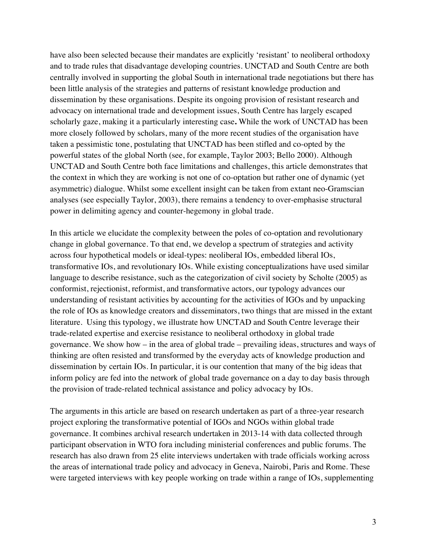have also been selected because their mandates are explicitly 'resistant' to neoliberal orthodoxy and to trade rules that disadvantage developing countries. UNCTAD and South Centre are both centrally involved in supporting the global South in international trade negotiations but there has been little analysis of the strategies and patterns of resistant knowledge production and dissemination by these organisations. Despite its ongoing provision of resistant research and advocacy on international trade and development issues, South Centre has largely escaped scholarly gaze, making it a particularly interesting case**.** While the work of UNCTAD has been more closely followed by scholars, many of the more recent studies of the organisation have taken a pessimistic tone, postulating that UNCTAD has been stifled and co-opted by the powerful states of the global North (see, for example, Taylor 2003; Bello 2000). Although UNCTAD and South Centre both face limitations and challenges, this article demonstrates that the context in which they are working is not one of co-optation but rather one of dynamic (yet asymmetric) dialogue. Whilst some excellent insight can be taken from extant neo-Gramscian analyses (see especially Taylor, 2003), there remains a tendency to over-emphasise structural power in delimiting agency and counter-hegemony in global trade.

In this article we elucidate the complexity between the poles of co-optation and revolutionary change in global governance. To that end, we develop a spectrum of strategies and activity across four hypothetical models or ideal-types: neoliberal IOs, embedded liberal IOs, transformative IOs, and revolutionary IOs. While existing conceptualizations have used similar language to describe resistance, such as the categorization of civil society by Scholte (2005) as conformist, rejectionist, reformist, and transformative actors, our typology advances our understanding of resistant activities by accounting for the activities of IGOs and by unpacking the role of IOs as knowledge creators and disseminators, two things that are missed in the extant literature. Using this typology, we illustrate how UNCTAD and South Centre leverage their trade-related expertise and exercise resistance to neoliberal orthodoxy in global trade governance. We show how – in the area of global trade – prevailing ideas, structures and ways of thinking are often resisted and transformed by the everyday acts of knowledge production and dissemination by certain IOs. In particular, it is our contention that many of the big ideas that inform policy are fed into the network of global trade governance on a day to day basis through the provision of trade-related technical assistance and policy advocacy by IOs.

The arguments in this article are based on research undertaken as part of a three-year research project exploring the transformative potential of IGOs and NGOs within global trade governance. It combines archival research undertaken in 2013-14 with data collected through participant observation in WTO fora including ministerial conferences and public forums. The research has also drawn from 25 elite interviews undertaken with trade officials working across the areas of international trade policy and advocacy in Geneva, Nairobi, Paris and Rome. These were targeted interviews with key people working on trade within a range of IOs, supplementing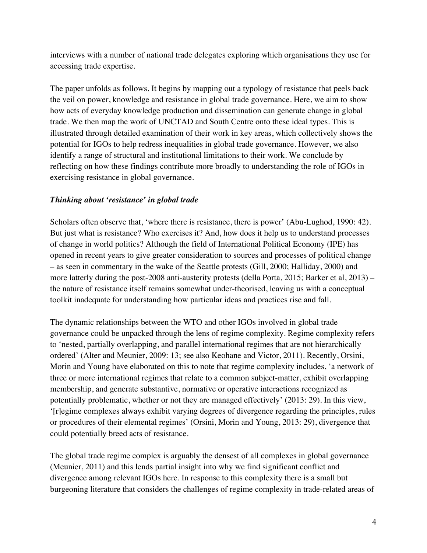interviews with a number of national trade delegates exploring which organisations they use for accessing trade expertise.

The paper unfolds as follows. It begins by mapping out a typology of resistance that peels back the veil on power, knowledge and resistance in global trade governance. Here, we aim to show how acts of everyday knowledge production and dissemination can generate change in global trade. We then map the work of UNCTAD and South Centre onto these ideal types. This is illustrated through detailed examination of their work in key areas, which collectively shows the potential for IGOs to help redress inequalities in global trade governance. However, we also identify a range of structural and institutional limitations to their work. We conclude by reflecting on how these findings contribute more broadly to understanding the role of IGOs in exercising resistance in global governance.

## *Thinking about 'resistance' in global trade*

Scholars often observe that, 'where there is resistance, there is power' (Abu-Lughod, 1990: 42). But just what is resistance? Who exercises it? And, how does it help us to understand processes of change in world politics? Although the field of International Political Economy (IPE) has opened in recent years to give greater consideration to sources and processes of political change – as seen in commentary in the wake of the Seattle protests (Gill, 2000; Halliday, 2000) and more latterly during the post-2008 anti-austerity protests (della Porta, 2015; Barker et al, 2013) – the nature of resistance itself remains somewhat under-theorised, leaving us with a conceptual toolkit inadequate for understanding how particular ideas and practices rise and fall.

The dynamic relationships between the WTO and other IGOs involved in global trade governance could be unpacked through the lens of regime complexity. Regime complexity refers to 'nested, partially overlapping, and parallel international regimes that are not hierarchically ordered' (Alter and Meunier, 2009: 13; see also Keohane and Victor, 2011). Recently, Orsini, Morin and Young have elaborated on this to note that regime complexity includes, 'a network of three or more international regimes that relate to a common subject-matter, exhibit overlapping membership, and generate substantive, normative or operative interactions recognized as potentially problematic, whether or not they are managed effectively' (2013: 29). In this view, '[r]egime complexes always exhibit varying degrees of divergence regarding the principles, rules or procedures of their elemental regimes' (Orsini, Morin and Young, 2013: 29), divergence that could potentially breed acts of resistance.

The global trade regime complex is arguably the densest of all complexes in global governance (Meunier, 2011) and this lends partial insight into why we find significant conflict and divergence among relevant IGOs here. In response to this complexity there is a small but burgeoning literature that considers the challenges of regime complexity in trade-related areas of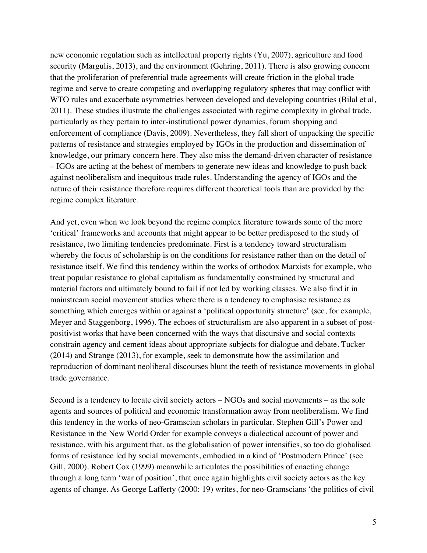new economic regulation such as intellectual property rights (Yu, 2007), agriculture and food security (Margulis, 2013), and the environment (Gehring, 2011). There is also growing concern that the proliferation of preferential trade agreements will create friction in the global trade regime and serve to create competing and overlapping regulatory spheres that may conflict with WTO rules and exacerbate asymmetries between developed and developing countries (Bilal et al, 2011). These studies illustrate the challenges associated with regime complexity in global trade, particularly as they pertain to inter-institutional power dynamics, forum shopping and enforcement of compliance (Davis, 2009). Nevertheless, they fall short of unpacking the specific patterns of resistance and strategies employed by IGOs in the production and dissemination of knowledge, our primary concern here. They also miss the demand-driven character of resistance – IGOs are acting at the behest of members to generate new ideas and knowledge to push back against neoliberalism and inequitous trade rules. Understanding the agency of IGOs and the nature of their resistance therefore requires different theoretical tools than are provided by the regime complex literature.

And yet, even when we look beyond the regime complex literature towards some of the more 'critical' frameworks and accounts that might appear to be better predisposed to the study of resistance, two limiting tendencies predominate. First is a tendency toward structuralism whereby the focus of scholarship is on the conditions for resistance rather than on the detail of resistance itself. We find this tendency within the works of orthodox Marxists for example, who treat popular resistance to global capitalism as fundamentally constrained by structural and material factors and ultimately bound to fail if not led by working classes. We also find it in mainstream social movement studies where there is a tendency to emphasise resistance as something which emerges within or against a 'political opportunity structure' (see, for example, Meyer and Staggenborg, 1996). The echoes of structuralism are also apparent in a subset of postpositivist works that have been concerned with the ways that discursive and social contexts constrain agency and cement ideas about appropriate subjects for dialogue and debate. Tucker (2014) and Strange (2013), for example, seek to demonstrate how the assimilation and reproduction of dominant neoliberal discourses blunt the teeth of resistance movements in global trade governance.

Second is a tendency to locate civil society actors – NGOs and social movements – as the sole agents and sources of political and economic transformation away from neoliberalism. We find this tendency in the works of neo-Gramscian scholars in particular. Stephen Gill's Power and Resistance in the New World Order for example conveys a dialectical account of power and resistance, with his argument that, as the globalisation of power intensifies, so too do globalised forms of resistance led by social movements, embodied in a kind of 'Postmodern Prince' (see Gill, 2000). Robert Cox (1999) meanwhile articulates the possibilities of enacting change through a long term 'war of position', that once again highlights civil society actors as the key agents of change. As George Lafferty (2000: 19) writes, for neo-Gramscians 'the politics of civil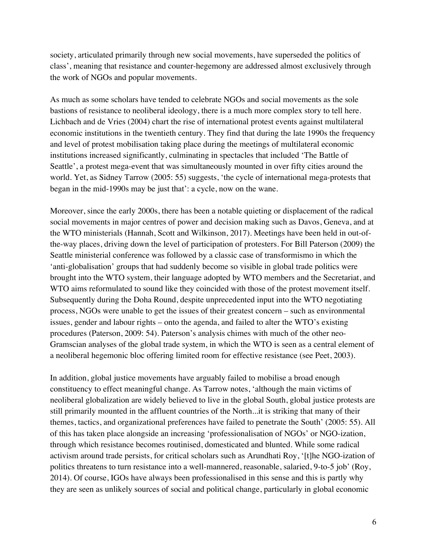society, articulated primarily through new social movements, have superseded the politics of class', meaning that resistance and counter-hegemony are addressed almost exclusively through the work of NGOs and popular movements.

As much as some scholars have tended to celebrate NGOs and social movements as the sole bastions of resistance to neoliberal ideology, there is a much more complex story to tell here. Lichbach and de Vries (2004) chart the rise of international protest events against multilateral economic institutions in the twentieth century. They find that during the late 1990s the frequency and level of protest mobilisation taking place during the meetings of multilateral economic institutions increased significantly, culminating in spectacles that included 'The Battle of Seattle', a protest mega-event that was simultaneously mounted in over fifty cities around the world. Yet, as Sidney Tarrow (2005: 55) suggests, 'the cycle of international mega-protests that began in the mid-1990s may be just that': a cycle, now on the wane.

Moreover, since the early 2000s, there has been a notable quieting or displacement of the radical social movements in major centres of power and decision making such as Davos, Geneva, and at the WTO ministerials (Hannah, Scott and Wilkinson, 2017). Meetings have been held in out-ofthe-way places, driving down the level of participation of protesters. For Bill Paterson (2009) the Seattle ministerial conference was followed by a classic case of transformismo in which the 'anti-globalisation' groups that had suddenly become so visible in global trade politics were brought into the WTO system, their language adopted by WTO members and the Secretariat, and WTO aims reformulated to sound like they coincided with those of the protest movement itself. Subsequently during the Doha Round, despite unprecedented input into the WTO negotiating process, NGOs were unable to get the issues of their greatest concern – such as environmental issues, gender and labour rights – onto the agenda, and failed to alter the WTO's existing procedures (Paterson, 2009: 54). Paterson's analysis chimes with much of the other neo-Gramscian analyses of the global trade system, in which the WTO is seen as a central element of a neoliberal hegemonic bloc offering limited room for effective resistance (see Peet, 2003).

In addition, global justice movements have arguably failed to mobilise a broad enough constituency to effect meaningful change. As Tarrow notes, 'although the main victims of neoliberal globalization are widely believed to live in the global South, global justice protests are still primarily mounted in the affluent countries of the North...it is striking that many of their themes, tactics, and organizational preferences have failed to penetrate the South' (2005: 55). All of this has taken place alongside an increasing 'professionalisation of NGOs' or NGO-ization, through which resistance becomes routinised, domesticated and blunted. While some radical activism around trade persists, for critical scholars such as Arundhati Roy, '[t]he NGO-ization of politics threatens to turn resistance into a well-mannered, reasonable, salaried, 9-to-5 job' (Roy, 2014). Of course, IGOs have always been professionalised in this sense and this is partly why they are seen as unlikely sources of social and political change, particularly in global economic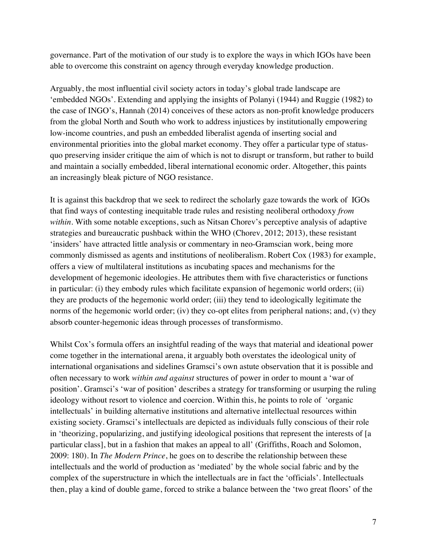governance. Part of the motivation of our study is to explore the ways in which IGOs have been able to overcome this constraint on agency through everyday knowledge production.

Arguably, the most influential civil society actors in today's global trade landscape are 'embedded NGOs'. Extending and applying the insights of Polanyi (1944) and Ruggie (1982) to the case of INGO's, Hannah (2014) conceives of these actors as non-profit knowledge producers from the global North and South who work to address injustices by institutionally empowering low-income countries, and push an embedded liberalist agenda of inserting social and environmental priorities into the global market economy. They offer a particular type of statusquo preserving insider critique the aim of which is not to disrupt or transform, but rather to build and maintain a socially embedded, liberal international economic order. Altogether, this paints an increasingly bleak picture of NGO resistance.

It is against this backdrop that we seek to redirect the scholarly gaze towards the work of IGOs that find ways of contesting inequitable trade rules and resisting neoliberal orthodoxy *from within*. With some notable exceptions, such as Nitsan Chorev's perceptive analysis of adaptive strategies and bureaucratic pushback within the WHO (Chorev, 2012; 2013), these resistant 'insiders' have attracted little analysis or commentary in neo-Gramscian work, being more commonly dismissed as agents and institutions of neoliberalism. Robert Cox (1983) for example, offers a view of multilateral institutions as incubating spaces and mechanisms for the development of hegemonic ideologies. He attributes them with five characteristics or functions in particular: (i) they embody rules which facilitate expansion of hegemonic world orders; (ii) they are products of the hegemonic world order; (iii) they tend to ideologically legitimate the norms of the hegemonic world order; (iv) they co-opt elites from peripheral nations; and, (v) they absorb counter-hegemonic ideas through processes of transformismo.

Whilst Cox's formula offers an insightful reading of the ways that material and ideational power come together in the international arena, it arguably both overstates the ideological unity of international organisations and sidelines Gramsci's own astute observation that it is possible and often necessary to work *within and against* structures of power in order to mount a 'war of position'. Gramsci's 'war of position' describes a strategy for transforming or usurping the ruling ideology without resort to violence and coercion. Within this, he points to role of 'organic intellectuals' in building alternative institutions and alternative intellectual resources within existing society. Gramsci's intellectuals are depicted as individuals fully conscious of their role in 'theorizing, popularizing, and justifying ideological positions that represent the interests of [a particular class], but in a fashion that makes an appeal to all' (Griffiths, Roach and Solomon, 2009: 180). In *The Modern Prince*, he goes on to describe the relationship between these intellectuals and the world of production as 'mediated' by the whole social fabric and by the complex of the superstructure in which the intellectuals are in fact the 'officials'. Intellectuals then, play a kind of double game, forced to strike a balance between the 'two great floors' of the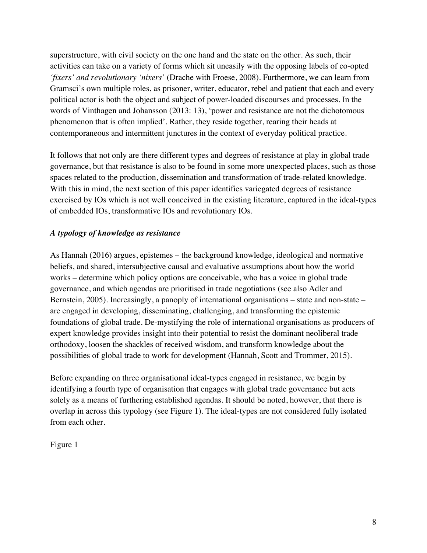superstructure, with civil society on the one hand and the state on the other. As such, their activities can take on a variety of forms which sit uneasily with the opposing labels of co-opted *'fixers' and revolutionary 'nixers'* (Drache with Froese, 2008). Furthermore, we can learn from Gramsci's own multiple roles, as prisoner, writer, educator, rebel and patient that each and every political actor is both the object and subject of power-loaded discourses and processes. In the words of Vinthagen and Johansson (2013: 13), 'power and resistance are not the dichotomous phenomenon that is often implied'. Rather, they reside together, rearing their heads at contemporaneous and intermittent junctures in the context of everyday political practice.

It follows that not only are there different types and degrees of resistance at play in global trade governance, but that resistance is also to be found in some more unexpected places, such as those spaces related to the production, dissemination and transformation of trade-related knowledge. With this in mind, the next section of this paper identifies variegated degrees of resistance exercised by IOs which is not well conceived in the existing literature, captured in the ideal-types of embedded IOs, transformative IOs and revolutionary IOs.

## *A typology of knowledge as resistance*

As Hannah (2016) argues, epistemes – the background knowledge, ideological and normative beliefs, and shared, intersubjective causal and evaluative assumptions about how the world works – determine which policy options are conceivable, who has a voice in global trade governance, and which agendas are prioritised in trade negotiations (see also Adler and Bernstein, 2005). Increasingly, a panoply of international organisations – state and non-state – are engaged in developing, disseminating, challenging, and transforming the epistemic foundations of global trade. De-mystifying the role of international organisations as producers of expert knowledge provides insight into their potential to resist the dominant neoliberal trade orthodoxy, loosen the shackles of received wisdom, and transform knowledge about the possibilities of global trade to work for development (Hannah, Scott and Trommer, 2015).

Before expanding on three organisational ideal-types engaged in resistance, we begin by identifying a fourth type of organisation that engages with global trade governance but acts solely as a means of furthering established agendas. It should be noted, however, that there is overlap in across this typology (see Figure 1). The ideal-types are not considered fully isolated from each other.

## Figure 1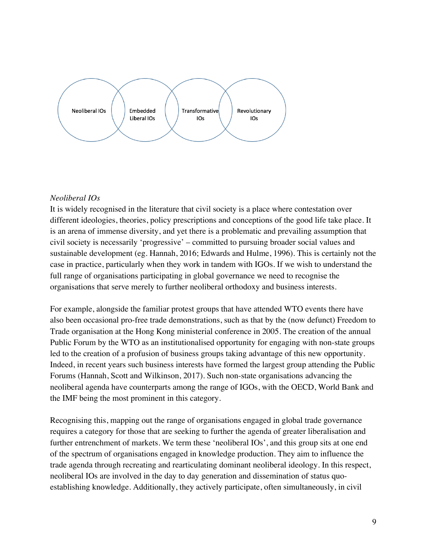

## *Neoliberal IOs*

It is widely recognised in the literature that civil society is a place where contestation over different ideologies, theories, policy prescriptions and conceptions of the good life take place. It is an arena of immense diversity, and yet there is a problematic and prevailing assumption that civil society is necessarily 'progressive' – committed to pursuing broader social values and sustainable development (eg. Hannah, 2016; Edwards and Hulme, 1996). This is certainly not the case in practice, particularly when they work in tandem with IGOs. If we wish to understand the full range of organisations participating in global governance we need to recognise the organisations that serve merely to further neoliberal orthodoxy and business interests.

For example, alongside the familiar protest groups that have attended WTO events there have also been occasional pro-free trade demonstrations, such as that by the (now defunct) Freedom to Trade organisation at the Hong Kong ministerial conference in 2005. The creation of the annual Public Forum by the WTO as an institutionalised opportunity for engaging with non-state groups led to the creation of a profusion of business groups taking advantage of this new opportunity. Indeed, in recent years such business interests have formed the largest group attending the Public Forums (Hannah, Scott and Wilkinson, 2017). Such non-state organisations advancing the neoliberal agenda have counterparts among the range of IGOs, with the OECD, World Bank and the IMF being the most prominent in this category.

Recognising this, mapping out the range of organisations engaged in global trade governance requires a category for those that are seeking to further the agenda of greater liberalisation and further entrenchment of markets. We term these 'neoliberal IOs', and this group sits at one end of the spectrum of organisations engaged in knowledge production. They aim to influence the trade agenda through recreating and rearticulating dominant neoliberal ideology. In this respect, neoliberal IOs are involved in the day to day generation and dissemination of status quoestablishing knowledge. Additionally, they actively participate, often simultaneously, in civil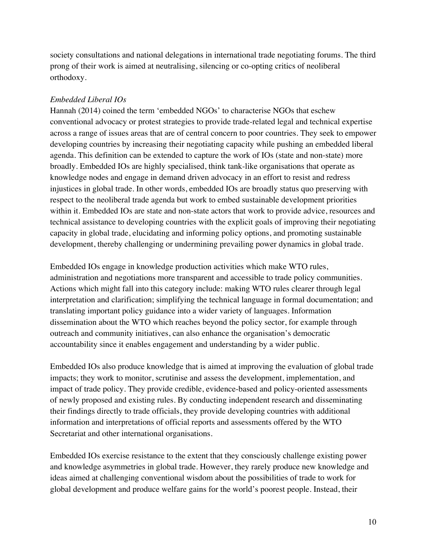society consultations and national delegations in international trade negotiating forums. The third prong of their work is aimed at neutralising, silencing or co-opting critics of neoliberal orthodoxy.

## *Embedded Liberal IOs*

Hannah (2014) coined the term 'embedded NGOs' to characterise NGOs that eschew conventional advocacy or protest strategies to provide trade-related legal and technical expertise across a range of issues areas that are of central concern to poor countries. They seek to empower developing countries by increasing their negotiating capacity while pushing an embedded liberal agenda. This definition can be extended to capture the work of IOs (state and non-state) more broadly. Embedded IOs are highly specialised, think tank-like organisations that operate as knowledge nodes and engage in demand driven advocacy in an effort to resist and redress injustices in global trade. In other words, embedded IOs are broadly status quo preserving with respect to the neoliberal trade agenda but work to embed sustainable development priorities within it. Embedded IOs are state and non-state actors that work to provide advice, resources and technical assistance to developing countries with the explicit goals of improving their negotiating capacity in global trade, elucidating and informing policy options, and promoting sustainable development, thereby challenging or undermining prevailing power dynamics in global trade.

Embedded IOs engage in knowledge production activities which make WTO rules, administration and negotiations more transparent and accessible to trade policy communities. Actions which might fall into this category include: making WTO rules clearer through legal interpretation and clarification; simplifying the technical language in formal documentation; and translating important policy guidance into a wider variety of languages. Information dissemination about the WTO which reaches beyond the policy sector, for example through outreach and community initiatives, can also enhance the organisation's democratic accountability since it enables engagement and understanding by a wider public.

Embedded IOs also produce knowledge that is aimed at improving the evaluation of global trade impacts; they work to monitor, scrutinise and assess the development, implementation, and impact of trade policy. They provide credible, evidence-based and policy-oriented assessments of newly proposed and existing rules. By conducting independent research and disseminating their findings directly to trade officials, they provide developing countries with additional information and interpretations of official reports and assessments offered by the WTO Secretariat and other international organisations.

Embedded IOs exercise resistance to the extent that they consciously challenge existing power and knowledge asymmetries in global trade. However, they rarely produce new knowledge and ideas aimed at challenging conventional wisdom about the possibilities of trade to work for global development and produce welfare gains for the world's poorest people. Instead, their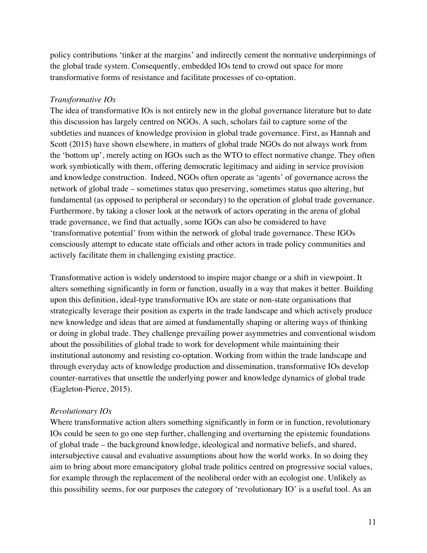policy contributions 'tinker at the margins' and indirectly cement the normative underpinnings of the global trade system. Consequently, embedded IOs tend to crowd out space for more transformative forms of resistance and facilitate processes of co-optation.

## *Transformative IOs*

The idea of transformative IOs is not entirely new in the global governance literature but to date this discussion has largely centred on NGOs. A such, scholars fail to capture some of the subtleties and nuances of knowledge provision in global trade governance. First, as Hannah and Scott (2015) have shown elsewhere, in matters of global trade NGOs do not always work from the 'bottom up', merely acting on IGOs such as the WTO to effect normative change. They often work symbiotically with them, offering democratic legitimacy and aiding in service provision and knowledge construction. Indeed, NGOs often operate as 'agents' of governance across the network of global trade – sometimes status quo preserving, sometimes status quo altering, but fundamental (as opposed to peripheral or secondary) to the operation of global trade governance. Furthermore, by taking a closer look at the network of actors operating in the arena of global trade governance, we find that actually, some IGOs can also be considered to have 'transformative potential' from within the network of global trade governance. These IGOs consciously attempt to educate state officials and other actors in trade policy communities and actively facilitate them in challenging existing practice.

Transformative action is widely understood to inspire major change or a shift in viewpoint. It alters something significantly in form or function, usually in a way that makes it better. Building upon this definition, ideal-type transformative IOs are state or non-state organisations that strategically leverage their position as experts in the trade landscape and which actively produce new knowledge and ideas that are aimed at fundamentally shaping or altering ways of thinking or doing in global trade. They challenge prevailing power asymmetries and conventional wisdom about the possibilities of global trade to work for development while maintaining their institutional autonomy and resisting co-optation. Working from within the trade landscape and through everyday acts of knowledge production and dissemination, transformative IOs develop counter-narratives that unsettle the underlying power and knowledge dynamics of global trade (Eagleton-Pierce, 2015).

# *Revolutionary IOs*

Where transformative action alters something significantly in form or in function, revolutionary IOs could be seen to go one step further, challenging and overturning the epistemic foundations of global trade – the background knowledge, ideological and normative beliefs, and shared, intersubjective causal and evaluative assumptions about how the world works. In so doing they aim to bring about more emancipatory global trade politics centred on progressive social values, for example through the replacement of the neoliberal order with an ecologist one. Unlikely as this possibility seems, for our purposes the category of 'revolutionary IO' is a useful tool. As an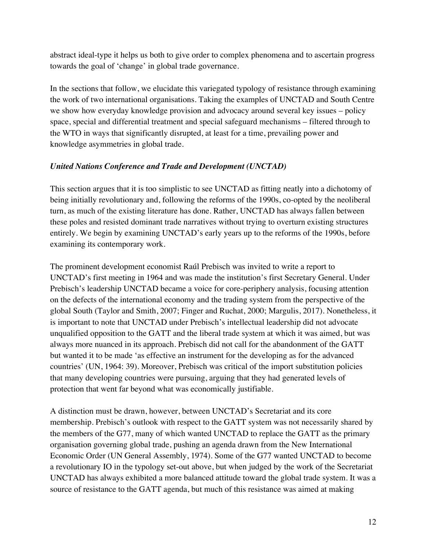abstract ideal-type it helps us both to give order to complex phenomena and to ascertain progress towards the goal of 'change' in global trade governance.

In the sections that follow, we elucidate this variegated typology of resistance through examining the work of two international organisations. Taking the examples of UNCTAD and South Centre we show how everyday knowledge provision and advocacy around several key issues – policy space, special and differential treatment and special safeguard mechanisms – filtered through to the WTO in ways that significantly disrupted, at least for a time, prevailing power and knowledge asymmetries in global trade.

## *United Nations Conference and Trade and Development (UNCTAD)*

This section argues that it is too simplistic to see UNCTAD as fitting neatly into a dichotomy of being initially revolutionary and, following the reforms of the 1990s, co-opted by the neoliberal turn, as much of the existing literature has done. Rather, UNCTAD has always fallen between these poles and resisted dominant trade narratives without trying to overturn existing structures entirely. We begin by examining UNCTAD's early years up to the reforms of the 1990s, before examining its contemporary work.

The prominent development economist Raúl Prebisch was invited to write a report to UNCTAD's first meeting in 1964 and was made the institution's first Secretary General. Under Prebisch's leadership UNCTAD became a voice for core-periphery analysis, focusing attention on the defects of the international economy and the trading system from the perspective of the global South (Taylor and Smith, 2007; Finger and Ruchat, 2000; Margulis, 2017). Nonetheless, it is important to note that UNCTAD under Prebisch's intellectual leadership did not advocate unqualified opposition to the GATT and the liberal trade system at which it was aimed, but was always more nuanced in its approach. Prebisch did not call for the abandonment of the GATT but wanted it to be made 'as effective an instrument for the developing as for the advanced countries' (UN, 1964: 39). Moreover, Prebisch was critical of the import substitution policies that many developing countries were pursuing, arguing that they had generated levels of protection that went far beyond what was economically justifiable.

A distinction must be drawn, however, between UNCTAD's Secretariat and its core membership. Prebisch's outlook with respect to the GATT system was not necessarily shared by the members of the G77, many of which wanted UNCTAD to replace the GATT as the primary organisation governing global trade, pushing an agenda drawn from the New International Economic Order (UN General Assembly, 1974). Some of the G77 wanted UNCTAD to become a revolutionary IO in the typology set-out above, but when judged by the work of the Secretariat UNCTAD has always exhibited a more balanced attitude toward the global trade system. It was a source of resistance to the GATT agenda, but much of this resistance was aimed at making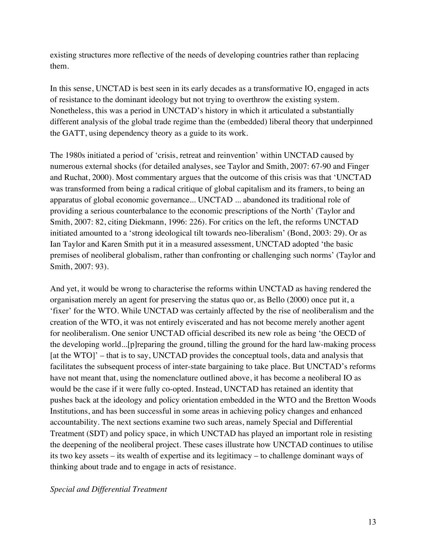existing structures more reflective of the needs of developing countries rather than replacing them.

In this sense, UNCTAD is best seen in its early decades as a transformative IO, engaged in acts of resistance to the dominant ideology but not trying to overthrow the existing system. Nonetheless, this was a period in UNCTAD's history in which it articulated a substantially different analysis of the global trade regime than the (embedded) liberal theory that underpinned the GATT, using dependency theory as a guide to its work.

The 1980s initiated a period of 'crisis, retreat and reinvention' within UNCTAD caused by numerous external shocks (for detailed analyses, see Taylor and Smith, 2007: 67-90 and Finger and Ruchat, 2000). Most commentary argues that the outcome of this crisis was that 'UNCTAD was transformed from being a radical critique of global capitalism and its framers, to being an apparatus of global economic governance... UNCTAD ... abandoned its traditional role of providing a serious counterbalance to the economic prescriptions of the North' (Taylor and Smith, 2007: 82, citing Diekmann, 1996: 226). For critics on the left, the reforms UNCTAD initiated amounted to a 'strong ideological tilt towards neo-liberalism' (Bond, 2003: 29). Or as Ian Taylor and Karen Smith put it in a measured assessment, UNCTAD adopted 'the basic premises of neoliberal globalism, rather than confronting or challenging such norms' (Taylor and Smith, 2007: 93).

And yet, it would be wrong to characterise the reforms within UNCTAD as having rendered the organisation merely an agent for preserving the status quo or, as Bello (2000) once put it, a 'fixer' for the WTO. While UNCTAD was certainly affected by the rise of neoliberalism and the creation of the WTO, it was not entirely eviscerated and has not become merely another agent for neoliberalism. One senior UNCTAD official described its new role as being 'the OECD of the developing world...[p]reparing the ground, tilling the ground for the hard law-making process [at the WTO]' – that is to say, UNCTAD provides the conceptual tools, data and analysis that facilitates the subsequent process of inter-state bargaining to take place. But UNCTAD's reforms have not meant that, using the nomenclature outlined above, it has become a neoliberal IO as would be the case if it were fully co-opted. Instead, UNCTAD has retained an identity that pushes back at the ideology and policy orientation embedded in the WTO and the Bretton Woods Institutions, and has been successful in some areas in achieving policy changes and enhanced accountability. The next sections examine two such areas, namely Special and Differential Treatment (SDT) and policy space, in which UNCTAD has played an important role in resisting the deepening of the neoliberal project. These cases illustrate how UNCTAD continues to utilise its two key assets – its wealth of expertise and its legitimacy – to challenge dominant ways of thinking about trade and to engage in acts of resistance.

#### *Special and Differential Treatment*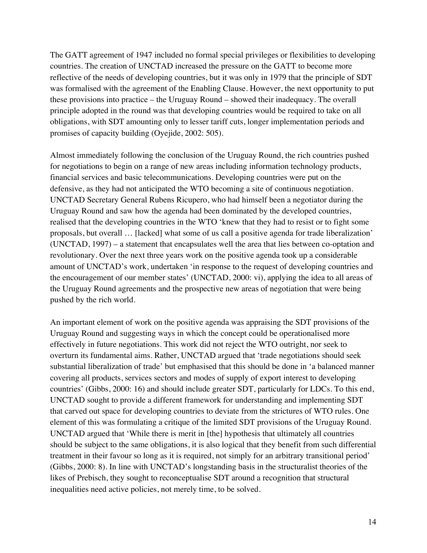The GATT agreement of 1947 included no formal special privileges or flexibilities to developing countries. The creation of UNCTAD increased the pressure on the GATT to become more reflective of the needs of developing countries, but it was only in 1979 that the principle of SDT was formalised with the agreement of the Enabling Clause. However, the next opportunity to put these provisions into practice – the Uruguay Round – showed their inadequacy. The overall principle adopted in the round was that developing countries would be required to take on all obligations, with SDT amounting only to lesser tariff cuts, longer implementation periods and promises of capacity building (Oyejide, 2002: 505).

Almost immediately following the conclusion of the Uruguay Round, the rich countries pushed for negotiations to begin on a range of new areas including information technology products, financial services and basic telecommunications. Developing countries were put on the defensive, as they had not anticipated the WTO becoming a site of continuous negotiation. UNCTAD Secretary General Rubens Ricupero, who had himself been a negotiator during the Uruguay Round and saw how the agenda had been dominated by the developed countries, realised that the developing countries in the WTO 'knew that they had to resist or to fight some proposals, but overall … [lacked] what some of us call a positive agenda for trade liberalization' (UNCTAD, 1997) – a statement that encapsulates well the area that lies between co-optation and revolutionary. Over the next three years work on the positive agenda took up a considerable amount of UNCTAD's work, undertaken 'in response to the request of developing countries and the encouragement of our member states' (UNCTAD, 2000: vi), applying the idea to all areas of the Uruguay Round agreements and the prospective new areas of negotiation that were being pushed by the rich world.

An important element of work on the positive agenda was appraising the SDT provisions of the Uruguay Round and suggesting ways in which the concept could be operationalised more effectively in future negotiations. This work did not reject the WTO outright, nor seek to overturn its fundamental aims. Rather, UNCTAD argued that 'trade negotiations should seek substantial liberalization of trade' but emphasised that this should be done in 'a balanced manner covering all products, services sectors and modes of supply of export interest to developing countries' (Gibbs, 2000: 16) and should include greater SDT, particularly for LDCs. To this end, UNCTAD sought to provide a different framework for understanding and implementing SDT that carved out space for developing countries to deviate from the strictures of WTO rules. One element of this was formulating a critique of the limited SDT provisions of the Uruguay Round. UNCTAD argued that 'While there is merit in [the] hypothesis that ultimately all countries should be subject to the same obligations, it is also logical that they benefit from such differential treatment in their favour so long as it is required, not simply for an arbitrary transitional period' (Gibbs, 2000: 8). In line with UNCTAD's longstanding basis in the structuralist theories of the likes of Prebisch, they sought to reconceptualise SDT around a recognition that structural inequalities need active policies, not merely time, to be solved.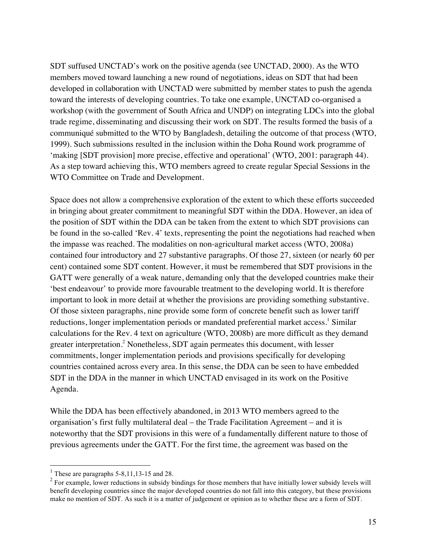SDT suffused UNCTAD's work on the positive agenda (see UNCTAD, 2000). As the WTO members moved toward launching a new round of negotiations, ideas on SDT that had been developed in collaboration with UNCTAD were submitted by member states to push the agenda toward the interests of developing countries. To take one example, UNCTAD co-organised a workshop (with the government of South Africa and UNDP) on integrating LDCs into the global trade regime, disseminating and discussing their work on SDT. The results formed the basis of a communiqué submitted to the WTO by Bangladesh, detailing the outcome of that process (WTO, 1999). Such submissions resulted in the inclusion within the Doha Round work programme of 'making [SDT provision] more precise, effective and operational' (WTO, 2001: paragraph 44). As a step toward achieving this, WTO members agreed to create regular Special Sessions in the WTO Committee on Trade and Development.

Space does not allow a comprehensive exploration of the extent to which these efforts succeeded in bringing about greater commitment to meaningful SDT within the DDA. However, an idea of the position of SDT within the DDA can be taken from the extent to which SDT provisions can be found in the so-called 'Rev. 4' texts, representing the point the negotiations had reached when the impasse was reached. The modalities on non-agricultural market access (WTO, 2008a) contained four introductory and 27 substantive paragraphs. Of those 27, sixteen (or nearly 60 per cent) contained some SDT content. However, it must be remembered that SDT provisions in the GATT were generally of a weak nature, demanding only that the developed countries make their 'best endeavour' to provide more favourable treatment to the developing world. It is therefore important to look in more detail at whether the provisions are providing something substantive. Of those sixteen paragraphs, nine provide some form of concrete benefit such as lower tariff reductions, longer implementation periods or mandated preferential market access.<sup>1</sup> Similar calculations for the Rev. 4 text on agriculture (WTO, 2008b) are more difficult as they demand greater interpretation.<sup>2</sup> Nonetheless, SDT again permeates this document, with lesser commitments, longer implementation periods and provisions specifically for developing countries contained across every area. In this sense, the DDA can be seen to have embedded SDT in the DDA in the manner in which UNCTAD envisaged in its work on the Positive Agenda.

While the DDA has been effectively abandoned, in 2013 WTO members agreed to the organisation's first fully multilateral deal – the Trade Facilitation Agreement – and it is noteworthy that the SDT provisions in this were of a fundamentally different nature to those of previous agreements under the GATT. For the first time, the agreement was based on the

<sup>&</sup>lt;sup>1</sup> These are paragraphs 5-8, 11, 13-15 and 28.

<sup>&</sup>lt;sup>2</sup> For example, lower reductions in subsidy bindings for those members that have initially lower subsidy levels will benefit developing countries since the major developed countries do not fall into this category, but these provisions make no mention of SDT. As such it is a matter of judgement or opinion as to whether these are a form of SDT.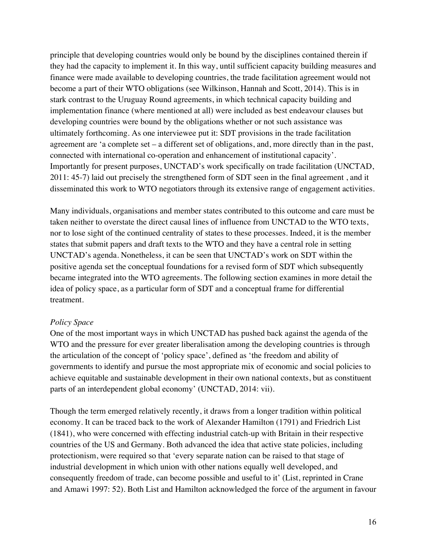principle that developing countries would only be bound by the disciplines contained therein if they had the capacity to implement it. In this way, until sufficient capacity building measures and finance were made available to developing countries, the trade facilitation agreement would not become a part of their WTO obligations (see Wilkinson, Hannah and Scott, 2014). This is in stark contrast to the Uruguay Round agreements, in which technical capacity building and implementation finance (where mentioned at all) were included as best endeavour clauses but developing countries were bound by the obligations whether or not such assistance was ultimately forthcoming. As one interviewee put it: SDT provisions in the trade facilitation agreement are 'a complete set – a different set of obligations, and, more directly than in the past, connected with international co-operation and enhancement of institutional capacity'. Importantly for present purposes, UNCTAD's work specifically on trade facilitation (UNCTAD, 2011: 45-7) laid out precisely the strengthened form of SDT seen in the final agreement , and it disseminated this work to WTO negotiators through its extensive range of engagement activities.

Many individuals, organisations and member states contributed to this outcome and care must be taken neither to overstate the direct causal lines of influence from UNCTAD to the WTO texts, nor to lose sight of the continued centrality of states to these processes. Indeed, it is the member states that submit papers and draft texts to the WTO and they have a central role in setting UNCTAD's agenda. Nonetheless, it can be seen that UNCTAD's work on SDT within the positive agenda set the conceptual foundations for a revised form of SDT which subsequently became integrated into the WTO agreements. The following section examines in more detail the idea of policy space, as a particular form of SDT and a conceptual frame for differential treatment.

## *Policy Space*

One of the most important ways in which UNCTAD has pushed back against the agenda of the WTO and the pressure for ever greater liberalisation among the developing countries is through the articulation of the concept of 'policy space', defined as 'the freedom and ability of governments to identify and pursue the most appropriate mix of economic and social policies to achieve equitable and sustainable development in their own national contexts, but as constituent parts of an interdependent global economy' (UNCTAD, 2014: vii).

Though the term emerged relatively recently, it draws from a longer tradition within political economy. It can be traced back to the work of Alexander Hamilton (1791) and Friedrich List (1841), who were concerned with effecting industrial catch-up with Britain in their respective countries of the US and Germany. Both advanced the idea that active state policies, including protectionism, were required so that 'every separate nation can be raised to that stage of industrial development in which union with other nations equally well developed, and consequently freedom of trade, can become possible and useful to it' (List, reprinted in Crane and Amawi 1997: 52). Both List and Hamilton acknowledged the force of the argument in favour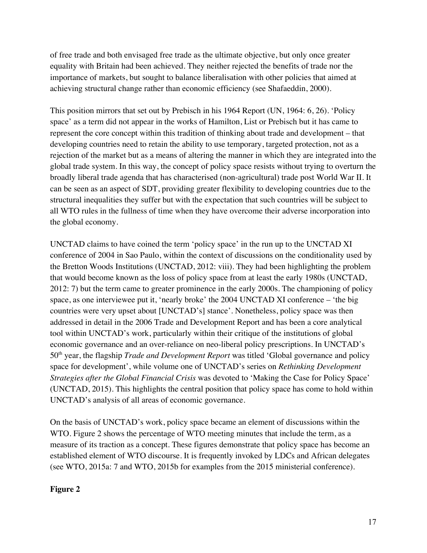of free trade and both envisaged free trade as the ultimate objective, but only once greater equality with Britain had been achieved. They neither rejected the benefits of trade nor the importance of markets, but sought to balance liberalisation with other policies that aimed at achieving structural change rather than economic efficiency (see Shafaeddin, 2000).

This position mirrors that set out by Prebisch in his 1964 Report (UN, 1964: 6, 26). 'Policy space' as a term did not appear in the works of Hamilton, List or Prebisch but it has came to represent the core concept within this tradition of thinking about trade and development – that developing countries need to retain the ability to use temporary, targeted protection, not as a rejection of the market but as a means of altering the manner in which they are integrated into the global trade system. In this way, the concept of policy space resists without trying to overturn the broadly liberal trade agenda that has characterised (non-agricultural) trade post World War II. It can be seen as an aspect of SDT, providing greater flexibility to developing countries due to the structural inequalities they suffer but with the expectation that such countries will be subject to all WTO rules in the fullness of time when they have overcome their adverse incorporation into the global economy.

UNCTAD claims to have coined the term 'policy space' in the run up to the UNCTAD XI conference of 2004 in Sao Paulo, within the context of discussions on the conditionality used by the Bretton Woods Institutions (UNCTAD, 2012: viii). They had been highlighting the problem that would become known as the loss of policy space from at least the early 1980s (UNCTAD, 2012: 7) but the term came to greater prominence in the early 2000s. The championing of policy space, as one interviewee put it, 'nearly broke' the 2004 UNCTAD XI conference – 'the big countries were very upset about [UNCTAD's] stance'. Nonetheless, policy space was then addressed in detail in the 2006 Trade and Development Report and has been a core analytical tool within UNCTAD's work, particularly within their critique of the institutions of global economic governance and an over-reliance on neo-liberal policy prescriptions. In UNCTAD's 50th year, the flagship *Trade and Development Report* was titled 'Global governance and policy space for development', while volume one of UNCTAD's series on *Rethinking Development Strategies after the Global Financial Crisis* was devoted to 'Making the Case for Policy Space' (UNCTAD, 2015). This highlights the central position that policy space has come to hold within UNCTAD's analysis of all areas of economic governance.

On the basis of UNCTAD's work, policy space became an element of discussions within the WTO. Figure 2 shows the percentage of WTO meeting minutes that include the term, as a measure of its traction as a concept. These figures demonstrate that policy space has become an established element of WTO discourse. It is frequently invoked by LDCs and African delegates (see WTO, 2015a: 7 and WTO, 2015b for examples from the 2015 ministerial conference).

## **Figure 2**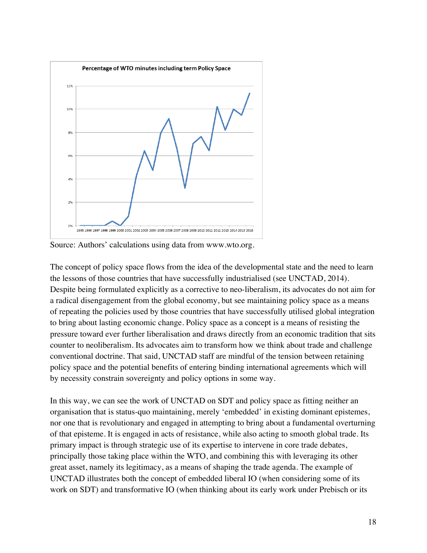

Source: Authors' calculations using data from www.wto.org.

The concept of policy space flows from the idea of the developmental state and the need to learn the lessons of those countries that have successfully industrialised (see UNCTAD, 2014). Despite being formulated explicitly as a corrective to neo-liberalism, its advocates do not aim for a radical disengagement from the global economy, but see maintaining policy space as a means of repeating the policies used by those countries that have successfully utilised global integration to bring about lasting economic change. Policy space as a concept is a means of resisting the pressure toward ever further liberalisation and draws directly from an economic tradition that sits counter to neoliberalism. Its advocates aim to transform how we think about trade and challenge conventional doctrine. That said, UNCTAD staff are mindful of the tension between retaining policy space and the potential benefits of entering binding international agreements which will by necessity constrain sovereignty and policy options in some way.

In this way, we can see the work of UNCTAD on SDT and policy space as fitting neither an organisation that is status-quo maintaining, merely 'embedded' in existing dominant epistemes, nor one that is revolutionary and engaged in attempting to bring about a fundamental overturning of that episteme. It is engaged in acts of resistance, while also acting to smooth global trade. Its primary impact is through strategic use of its expertise to intervene in core trade debates, principally those taking place within the WTO, and combining this with leveraging its other great asset, namely its legitimacy, as a means of shaping the trade agenda. The example of UNCTAD illustrates both the concept of embedded liberal IO (when considering some of its work on SDT) and transformative IO (when thinking about its early work under Prebisch or its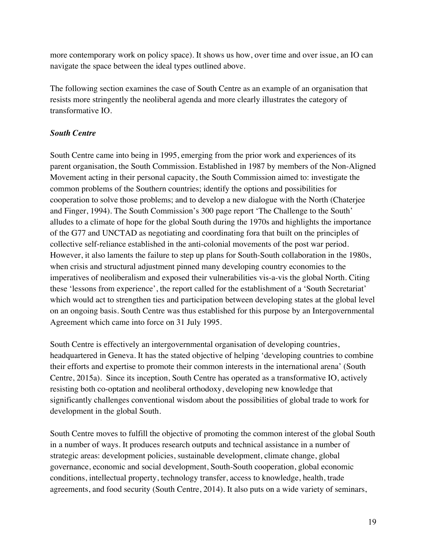more contemporary work on policy space). It shows us how, over time and over issue, an IO can navigate the space between the ideal types outlined above.

The following section examines the case of South Centre as an example of an organisation that resists more stringently the neoliberal agenda and more clearly illustrates the category of transformative IO.

## *South Centre*

South Centre came into being in 1995, emerging from the prior work and experiences of its parent organisation, the South Commission. Established in 1987 by members of the Non-Aligned Movement acting in their personal capacity, the South Commission aimed to: investigate the common problems of the Southern countries; identify the options and possibilities for cooperation to solve those problems; and to develop a new dialogue with the North (Chaterjee and Finger, 1994). The South Commission's 300 page report 'The Challenge to the South' alludes to a climate of hope for the global South during the 1970s and highlights the importance of the G77 and UNCTAD as negotiating and coordinating fora that built on the principles of collective self-reliance established in the anti-colonial movements of the post war period. However, it also laments the failure to step up plans for South-South collaboration in the 1980s, when crisis and structural adjustment pinned many developing country economies to the imperatives of neoliberalism and exposed their vulnerabilities vis-a-vis the global North. Citing these 'lessons from experience', the report called for the establishment of a 'South Secretariat' which would act to strengthen ties and participation between developing states at the global level on an ongoing basis. South Centre was thus established for this purpose by an Intergovernmental Agreement which came into force on 31 July 1995.

South Centre is effectively an intergovernmental organisation of developing countries, headquartered in Geneva. It has the stated objective of helping 'developing countries to combine their efforts and expertise to promote their common interests in the international arena' (South Centre, 2015a). Since its inception, South Centre has operated as a transformative IO, actively resisting both co-optation and neoliberal orthodoxy, developing new knowledge that significantly challenges conventional wisdom about the possibilities of global trade to work for development in the global South.

South Centre moves to fulfill the objective of promoting the common interest of the global South in a number of ways. It produces research outputs and technical assistance in a number of strategic areas: development policies, sustainable development, climate change, global governance, economic and social development, South-South cooperation, global economic conditions, intellectual property, technology transfer, access to knowledge, health, trade agreements, and food security (South Centre, 2014). It also puts on a wide variety of seminars,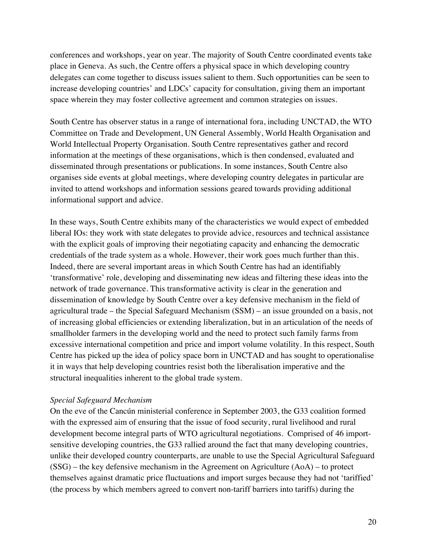conferences and workshops, year on year. The majority of South Centre coordinated events take place in Geneva. As such, the Centre offers a physical space in which developing country delegates can come together to discuss issues salient to them. Such opportunities can be seen to increase developing countries' and LDCs' capacity for consultation, giving them an important space wherein they may foster collective agreement and common strategies on issues.

South Centre has observer status in a range of international fora, including UNCTAD, the WTO Committee on Trade and Development, UN General Assembly, World Health Organisation and World Intellectual Property Organisation. South Centre representatives gather and record information at the meetings of these organisations, which is then condensed, evaluated and disseminated through presentations or publications. In some instances, South Centre also organises side events at global meetings, where developing country delegates in particular are invited to attend workshops and information sessions geared towards providing additional informational support and advice.

In these ways, South Centre exhibits many of the characteristics we would expect of embedded liberal IOs: they work with state delegates to provide advice, resources and technical assistance with the explicit goals of improving their negotiating capacity and enhancing the democratic credentials of the trade system as a whole. However, their work goes much further than this. Indeed, there are several important areas in which South Centre has had an identifiably 'transformative' role, developing and disseminating new ideas and filtering these ideas into the network of trade governance. This transformative activity is clear in the generation and dissemination of knowledge by South Centre over a key defensive mechanism in the field of agricultural trade – the Special Safeguard Mechanism (SSM) – an issue grounded on a basis, not of increasing global efficiencies or extending liberalization, but in an articulation of the needs of smallholder farmers in the developing world and the need to protect such family farms from excessive international competition and price and import volume volatility. In this respect, South Centre has picked up the idea of policy space born in UNCTAD and has sought to operationalise it in ways that help developing countries resist both the liberalisation imperative and the structural inequalities inherent to the global trade system.

#### *Special Safeguard Mechanism*

On the eve of the Cancún ministerial conference in September 2003, the G33 coalition formed with the expressed aim of ensuring that the issue of food security, rural livelihood and rural development become integral parts of WTO agricultural negotiations. Comprised of 46 importsensitive developing countries, the G33 rallied around the fact that many developing countries, unlike their developed country counterparts, are unable to use the Special Agricultural Safeguard (SSG) – the key defensive mechanism in the Agreement on Agriculture (AoA) – to protect themselves against dramatic price fluctuations and import surges because they had not 'tariffied' (the process by which members agreed to convert non-tariff barriers into tariffs) during the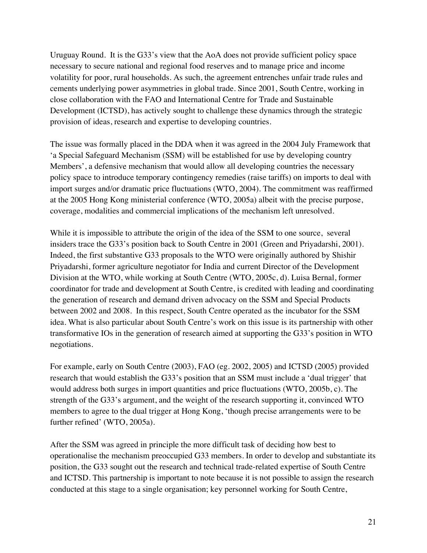Uruguay Round. It is the G33's view that the AoA does not provide sufficient policy space necessary to secure national and regional food reserves and to manage price and income volatility for poor, rural households. As such, the agreement entrenches unfair trade rules and cements underlying power asymmetries in global trade. Since 2001, South Centre, working in close collaboration with the FAO and International Centre for Trade and Sustainable Development (ICTSD), has actively sought to challenge these dynamics through the strategic provision of ideas, research and expertise to developing countries.

The issue was formally placed in the DDA when it was agreed in the 2004 July Framework that 'a Special Safeguard Mechanism (SSM) will be established for use by developing country Members', a defensive mechanism that would allow all developing countries the necessary policy space to introduce temporary contingency remedies (raise tariffs) on imports to deal with import surges and/or dramatic price fluctuations (WTO, 2004). The commitment was reaffirmed at the 2005 Hong Kong ministerial conference (WTO, 2005a) albeit with the precise purpose, coverage, modalities and commercial implications of the mechanism left unresolved.

While it is impossible to attribute the origin of the idea of the SSM to one source, several insiders trace the G33's position back to South Centre in 2001 (Green and Priyadarshi, 2001). Indeed, the first substantive G33 proposals to the WTO were originally authored by Shishir Priyadarshi, former agriculture negotiator for India and current Director of the Development Division at the WTO, while working at South Centre (WTO, 2005c, d). Luisa Bernal, former coordinator for trade and development at South Centre, is credited with leading and coordinating the generation of research and demand driven advocacy on the SSM and Special Products between 2002 and 2008. In this respect, South Centre operated as the incubator for the SSM idea. What is also particular about South Centre's work on this issue is its partnership with other transformative IOs in the generation of research aimed at supporting the G33's position in WTO negotiations.

For example, early on South Centre (2003), FAO (eg. 2002, 2005) and ICTSD (2005) provided research that would establish the G33's position that an SSM must include a 'dual trigger' that would address both surges in import quantities and price fluctuations (WTO, 2005b, c). The strength of the G33's argument, and the weight of the research supporting it, convinced WTO members to agree to the dual trigger at Hong Kong, 'though precise arrangements were to be further refined' (WTO, 2005a).

After the SSM was agreed in principle the more difficult task of deciding how best to operationalise the mechanism preoccupied G33 members. In order to develop and substantiate its position, the G33 sought out the research and technical trade-related expertise of South Centre and ICTSD. This partnership is important to note because it is not possible to assign the research conducted at this stage to a single organisation; key personnel working for South Centre,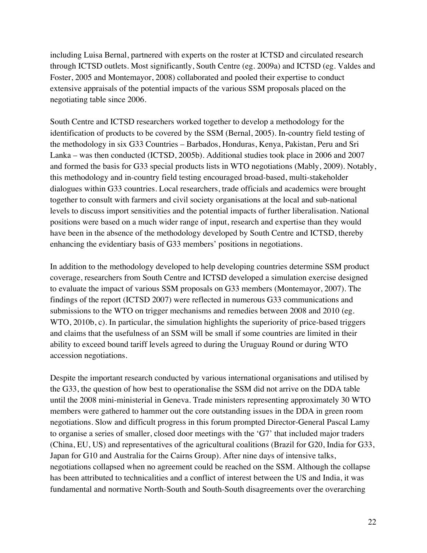including Luisa Bernal, partnered with experts on the roster at ICTSD and circulated research through ICTSD outlets. Most significantly, South Centre (eg. 2009a) and ICTSD (eg. Valdes and Foster, 2005 and Montemayor, 2008) collaborated and pooled their expertise to conduct extensive appraisals of the potential impacts of the various SSM proposals placed on the negotiating table since 2006.

South Centre and ICTSD researchers worked together to develop a methodology for the identification of products to be covered by the SSM (Bernal, 2005). In-country field testing of the methodology in six G33 Countries – Barbados, Honduras, Kenya, Pakistan, Peru and Sri Lanka – was then conducted (ICTSD, 2005b). Additional studies took place in 2006 and 2007 and formed the basis for G33 special products lists in WTO negotiations (Mably, 2009). Notably, this methodology and in-country field testing encouraged broad-based, multi-stakeholder dialogues within G33 countries. Local researchers, trade officials and academics were brought together to consult with farmers and civil society organisations at the local and sub-national levels to discuss import sensitivities and the potential impacts of further liberalisation. National positions were based on a much wider range of input, research and expertise than they would have been in the absence of the methodology developed by South Centre and ICTSD, thereby enhancing the evidentiary basis of G33 members' positions in negotiations.

In addition to the methodology developed to help developing countries determine SSM product coverage, researchers from South Centre and ICTSD developed a simulation exercise designed to evaluate the impact of various SSM proposals on G33 members (Montemayor, 2007). The findings of the report (ICTSD 2007) were reflected in numerous G33 communications and submissions to the WTO on trigger mechanisms and remedies between 2008 and 2010 (eg. WTO, 2010b, c). In particular, the simulation highlights the superiority of price-based triggers and claims that the usefulness of an SSM will be small if some countries are limited in their ability to exceed bound tariff levels agreed to during the Uruguay Round or during WTO accession negotiations.

Despite the important research conducted by various international organisations and utilised by the G33, the question of how best to operationalise the SSM did not arrive on the DDA table until the 2008 mini-ministerial in Geneva. Trade ministers representing approximately 30 WTO members were gathered to hammer out the core outstanding issues in the DDA in green room negotiations. Slow and difficult progress in this forum prompted Director-General Pascal Lamy to organise a series of smaller, closed door meetings with the 'G7' that included major traders (China, EU, US) and representatives of the agricultural coalitions (Brazil for G20, India for G33, Japan for G10 and Australia for the Cairns Group). After nine days of intensive talks, negotiations collapsed when no agreement could be reached on the SSM. Although the collapse has been attributed to technicalities and a conflict of interest between the US and India, it was fundamental and normative North-South and South-South disagreements over the overarching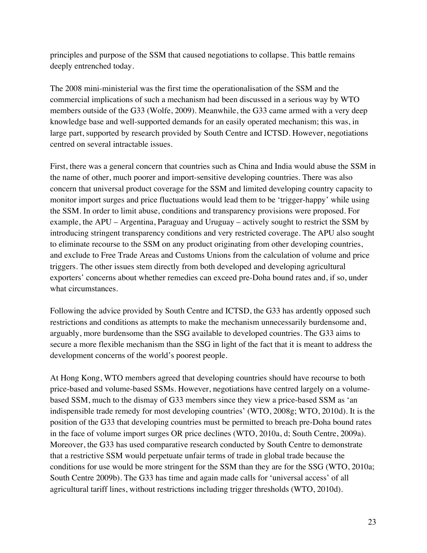principles and purpose of the SSM that caused negotiations to collapse. This battle remains deeply entrenched today.

The 2008 mini-ministerial was the first time the operationalisation of the SSM and the commercial implications of such a mechanism had been discussed in a serious way by WTO members outside of the G33 (Wolfe, 2009). Meanwhile, the G33 came armed with a very deep knowledge base and well-supported demands for an easily operated mechanism; this was, in large part, supported by research provided by South Centre and ICTSD. However, negotiations centred on several intractable issues.

First, there was a general concern that countries such as China and India would abuse the SSM in the name of other, much poorer and import-sensitive developing countries. There was also concern that universal product coverage for the SSM and limited developing country capacity to monitor import surges and price fluctuations would lead them to be 'trigger-happy' while using the SSM. In order to limit abuse, conditions and transparency provisions were proposed. For example, the APU – Argentina, Paraguay and Uruguay – actively sought to restrict the SSM by introducing stringent transparency conditions and very restricted coverage. The APU also sought to eliminate recourse to the SSM on any product originating from other developing countries, and exclude to Free Trade Areas and Customs Unions from the calculation of volume and price triggers. The other issues stem directly from both developed and developing agricultural exporters' concerns about whether remedies can exceed pre-Doha bound rates and, if so, under what circumstances.

Following the advice provided by South Centre and ICTSD, the G33 has ardently opposed such restrictions and conditions as attempts to make the mechanism unnecessarily burdensome and, arguably, more burdensome than the SSG available to developed countries. The G33 aims to secure a more flexible mechanism than the SSG in light of the fact that it is meant to address the development concerns of the world's poorest people.

At Hong Kong, WTO members agreed that developing countries should have recourse to both price-based and volume-based SSMs. However, negotiations have centred largely on a volumebased SSM, much to the dismay of G33 members since they view a price-based SSM as 'an indispensible trade remedy for most developing countries' (WTO, 2008g; WTO, 2010d). It is the position of the G33 that developing countries must be permitted to breach pre-Doha bound rates in the face of volume import surges OR price declines (WTO, 2010a, d; South Centre, 2009a). Moreover, the G33 has used comparative research conducted by South Centre to demonstrate that a restrictive SSM would perpetuate unfair terms of trade in global trade because the conditions for use would be more stringent for the SSM than they are for the SSG (WTO, 2010a; South Centre 2009b). The G33 has time and again made calls for 'universal access' of all agricultural tariff lines, without restrictions including trigger thresholds (WTO, 2010d).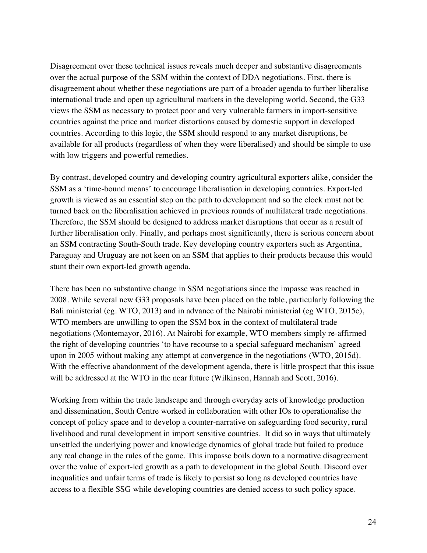Disagreement over these technical issues reveals much deeper and substantive disagreements over the actual purpose of the SSM within the context of DDA negotiations. First, there is disagreement about whether these negotiations are part of a broader agenda to further liberalise international trade and open up agricultural markets in the developing world. Second, the G33 views the SSM as necessary to protect poor and very vulnerable farmers in import-sensitive countries against the price and market distortions caused by domestic support in developed countries. According to this logic, the SSM should respond to any market disruptions, be available for all products (regardless of when they were liberalised) and should be simple to use with low triggers and powerful remedies.

By contrast, developed country and developing country agricultural exporters alike, consider the SSM as a 'time-bound means' to encourage liberalisation in developing countries. Export-led growth is viewed as an essential step on the path to development and so the clock must not be turned back on the liberalisation achieved in previous rounds of multilateral trade negotiations. Therefore, the SSM should be designed to address market disruptions that occur as a result of further liberalisation only. Finally, and perhaps most significantly, there is serious concern about an SSM contracting South-South trade. Key developing country exporters such as Argentina, Paraguay and Uruguay are not keen on an SSM that applies to their products because this would stunt their own export-led growth agenda.

There has been no substantive change in SSM negotiations since the impasse was reached in 2008. While several new G33 proposals have been placed on the table, particularly following the Bali ministerial (eg. WTO, 2013) and in advance of the Nairobi ministerial (eg WTO, 2015c), WTO members are unwilling to open the SSM box in the context of multilateral trade negotiations (Montemayor, 2016). At Nairobi for example, WTO members simply re-affirmed the right of developing countries 'to have recourse to a special safeguard mechanism' agreed upon in 2005 without making any attempt at convergence in the negotiations (WTO, 2015d). With the effective abandonment of the development agenda, there is little prospect that this issue will be addressed at the WTO in the near future (Wilkinson, Hannah and Scott, 2016).

Working from within the trade landscape and through everyday acts of knowledge production and dissemination, South Centre worked in collaboration with other IOs to operationalise the concept of policy space and to develop a counter-narrative on safeguarding food security, rural livelihood and rural development in import sensitive countries. It did so in ways that ultimately unsettled the underlying power and knowledge dynamics of global trade but failed to produce any real change in the rules of the game. This impasse boils down to a normative disagreement over the value of export-led growth as a path to development in the global South. Discord over inequalities and unfair terms of trade is likely to persist so long as developed countries have access to a flexible SSG while developing countries are denied access to such policy space.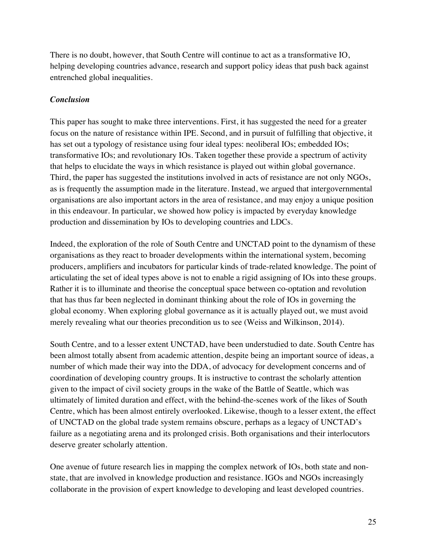There is no doubt, however, that South Centre will continue to act as a transformative IO, helping developing countries advance, research and support policy ideas that push back against entrenched global inequalities.

## *Conclusion*

This paper has sought to make three interventions. First, it has suggested the need for a greater focus on the nature of resistance within IPE. Second, and in pursuit of fulfilling that objective, it has set out a typology of resistance using four ideal types: neoliberal IOs; embedded IOs; transformative IOs; and revolutionary IOs. Taken together these provide a spectrum of activity that helps to elucidate the ways in which resistance is played out within global governance. Third, the paper has suggested the institutions involved in acts of resistance are not only NGOs, as is frequently the assumption made in the literature. Instead, we argued that intergovernmental organisations are also important actors in the area of resistance, and may enjoy a unique position in this endeavour. In particular, we showed how policy is impacted by everyday knowledge production and dissemination by IOs to developing countries and LDCs.

Indeed, the exploration of the role of South Centre and UNCTAD point to the dynamism of these organisations as they react to broader developments within the international system, becoming producers, amplifiers and incubators for particular kinds of trade-related knowledge. The point of articulating the set of ideal types above is not to enable a rigid assigning of IOs into these groups. Rather it is to illuminate and theorise the conceptual space between co-optation and revolution that has thus far been neglected in dominant thinking about the role of IOs in governing the global economy. When exploring global governance as it is actually played out, we must avoid merely revealing what our theories precondition us to see (Weiss and Wilkinson, 2014).

South Centre, and to a lesser extent UNCTAD, have been understudied to date. South Centre has been almost totally absent from academic attention, despite being an important source of ideas, a number of which made their way into the DDA, of advocacy for development concerns and of coordination of developing country groups. It is instructive to contrast the scholarly attention given to the impact of civil society groups in the wake of the Battle of Seattle, which was ultimately of limited duration and effect, with the behind-the-scenes work of the likes of South Centre, which has been almost entirely overlooked. Likewise, though to a lesser extent, the effect of UNCTAD on the global trade system remains obscure, perhaps as a legacy of UNCTAD's failure as a negotiating arena and its prolonged crisis. Both organisations and their interlocutors deserve greater scholarly attention.

One avenue of future research lies in mapping the complex network of IOs, both state and nonstate, that are involved in knowledge production and resistance. IGOs and NGOs increasingly collaborate in the provision of expert knowledge to developing and least developed countries.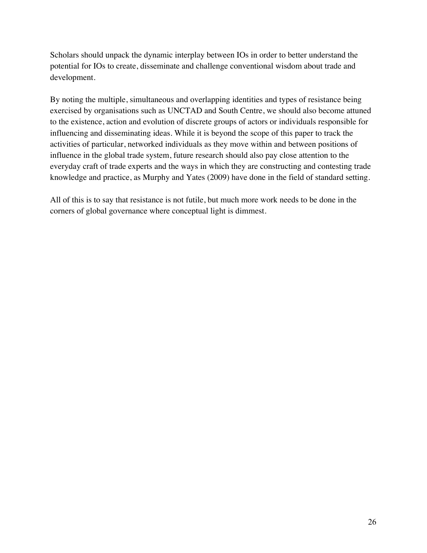Scholars should unpack the dynamic interplay between IOs in order to better understand the potential for IOs to create, disseminate and challenge conventional wisdom about trade and development.

By noting the multiple, simultaneous and overlapping identities and types of resistance being exercised by organisations such as UNCTAD and South Centre, we should also become attuned to the existence, action and evolution of discrete groups of actors or individuals responsible for influencing and disseminating ideas. While it is beyond the scope of this paper to track the activities of particular, networked individuals as they move within and between positions of influence in the global trade system, future research should also pay close attention to the everyday craft of trade experts and the ways in which they are constructing and contesting trade knowledge and practice, as Murphy and Yates (2009) have done in the field of standard setting.

All of this is to say that resistance is not futile, but much more work needs to be done in the corners of global governance where conceptual light is dimmest.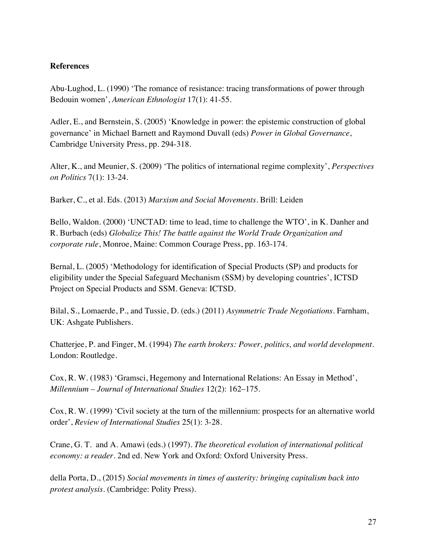### **References**

Abu-Lughod, L. (1990) 'The romance of resistance: tracing transformations of power through Bedouin women', *American Ethnologist* 17(1): 41-55.

Adler, E., and Bernstein, S. (2005) 'Knowledge in power: the epistemic construction of global governance' in Michael Barnett and Raymond Duvall (eds) *Power in Global Governance*, Cambridge University Press, pp. 294-318.

Alter, K., and Meunier, S. (2009) 'The politics of international regime complexity', *Perspectives on Politics* 7(1): 13-24.

Barker, C., et al. Eds. (2013) *Marxism and Social Movements.* Brill: Leiden

Bello, Waldon. (2000) 'UNCTAD: time to lead, time to challenge the WTO', in K. Danher and R. Burbach (eds) *Globalize This! The battle against the World Trade Organization and corporate rule*, Monroe, Maine: Common Courage Press, pp. 163-174.

Bernal, L. (2005) 'Methodology for identification of Special Products (SP) and products for eligibility under the Special Safeguard Mechanism (SSM) by developing countries', ICTSD Project on Special Products and SSM. Geneva: ICTSD.

Bilal, S., Lomaerde, P., and Tussie, D. (eds.) (2011) *Asymmetric Trade Negotiations*. Farnham, UK: Ashgate Publishers.

Chatterjee, P. and Finger, M. (1994) *The earth brokers: Power, politics, and world development*. London: Routledge.

Cox, R. W. (1983) 'Gramsci, Hegemony and International Relations: An Essay in Method', *Millennium – Journal of International Studies* 12(2): 162–175.

Cox, R. W. (1999) 'Civil society at the turn of the millennium: prospects for an alternative world order', *Review of International Studies* 25(1): 3-28.

Crane, G. T. and A. Amawi (eds.) (1997). *The theoretical evolution of international political economy: a reader.* 2nd ed. New York and Oxford: Oxford University Press.

della Porta, D., (2015) *Social movements in times of austerity: bringing capitalism back into protest analysis*. (Cambridge: Polity Press).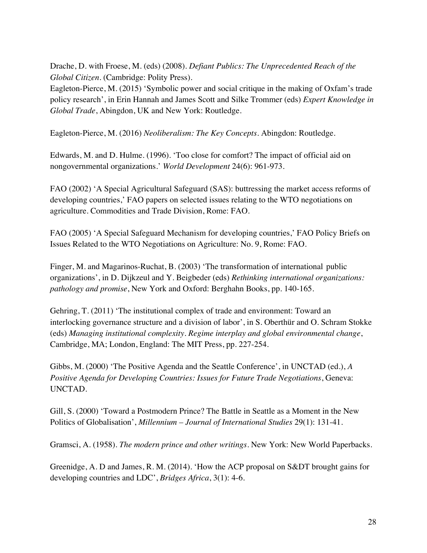Drache, D. with Froese, M. (eds) (2008). *Defiant Publics: The Unprecedented Reach of the Global Citizen*. (Cambridge: Polity Press).

Eagleton-Pierce, M. (2015) 'Symbolic power and social critique in the making of Oxfam's trade policy research', in Erin Hannah and James Scott and Silke Trommer (eds) *Expert Knowledge in Global Trade*, Abingdon, UK and New York: Routledge.

Eagleton-Pierce, M. (2016) *Neoliberalism: The Key Concepts.* Abingdon: Routledge.

Edwards, M. and D. Hulme. (1996). 'Too close for comfort? The impact of official aid on nongovernmental organizations.' *World Development* 24(6): 961-973.

FAO (2002) 'A Special Agricultural Safeguard (SAS): buttressing the market access reforms of developing countries,' FAO papers on selected issues relating to the WTO negotiations on agriculture. Commodities and Trade Division, Rome: FAO.

FAO (2005) 'A Special Safeguard Mechanism for developing countries,' FAO Policy Briefs on Issues Related to the WTO Negotiations on Agriculture: No. 9, Rome: FAO.

Finger, M. and Magarinos-Ruchat, B. (2003) 'The transformation of international public organizations', in D. Dijkzeul and Y. Beigbeder (eds) *Rethinking international organizations: pathology and promise*, New York and Oxford: Berghahn Books, pp. 140-165.

Gehring, T. (2011) 'The institutional complex of trade and environment: Toward an interlocking governance structure and a division of labor', in S. Oberthür and O. Schram Stokke (eds) *Managing institutional complexity. Regime interplay and global environmental change*, Cambridge, MA; London, England: The MIT Press, pp. 227-254.

Gibbs, M. (2000) 'The Positive Agenda and the Seattle Conference', in UNCTAD (ed.), *A Positive Agenda for Developing Countries: Issues for Future Trade Negotiations*, Geneva: UNCTAD.

Gill, S. (2000) 'Toward a Postmodern Prince? The Battle in Seattle as a Moment in the New Politics of Globalisation', *Millennium – Journal of International Studies* 29(1): 131-41.

Gramsci, A. (1958). *The modern prince and other writings*. New York: New World Paperbacks.

Greenidge, A. D and James, R. M. (2014). 'How the ACP proposal on S&DT brought gains for developing countries and LDC', *Bridges Africa*, 3(1): 4-6.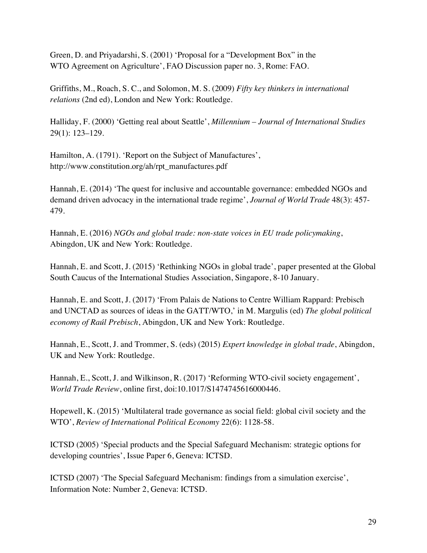Green, D. and Priyadarshi, S. (2001) 'Proposal for a "Development Box" in the WTO Agreement on Agriculture', FAO Discussion paper no. 3, Rome: FAO.

Griffiths, M., Roach, S. C., and Solomon, M. S. (2009) *Fifty key thinkers in international relations* (2nd ed), London and New York: Routledge.

Halliday, F. (2000) 'Getting real about Seattle', *Millennium – Journal of International Studies* 29(1): 123–129.

Hamilton, A. (1791). 'Report on the Subject of Manufactures', http://www.constitution.org/ah/rpt\_manufactures.pdf

Hannah, E. (2014) 'The quest for inclusive and accountable governance: embedded NGOs and demand driven advocacy in the international trade regime', *Journal of World Trade* 48(3): 457- 479.

Hannah, E. (2016) *NGOs and global trade: non-state voices in EU trade policymaking*, Abingdon, UK and New York: Routledge.

Hannah, E. and Scott, J. (2015) 'Rethinking NGOs in global trade', paper presented at the Global South Caucus of the International Studies Association, Singapore, 8-10 January.

Hannah, E. and Scott, J. (2017) 'From Palais de Nations to Centre William Rappard: Prebisch and UNCTAD as sources of ideas in the GATT/WTO,' in M. Margulis (ed) *The global political economy of Raúl Prebisch*, Abingdon, UK and New York: Routledge.

Hannah, E., Scott, J. and Trommer, S. (eds) (2015) *Expert knowledge in global trade*, Abingdon, UK and New York: Routledge.

Hannah, E., Scott, J. and Wilkinson, R. (2017) 'Reforming WTO-civil society engagement', *World Trade Review*, online first, doi:10.1017/S1474745616000446.

Hopewell, K. (2015) 'Multilateral trade governance as social field: global civil society and the WTO', *Review of International Political Economy* 22(6): 1128-58.

ICTSD (2005) 'Special products and the Special Safeguard Mechanism: strategic options for developing countries', Issue Paper 6, Geneva: ICTSD.

ICTSD (2007) 'The Special Safeguard Mechanism: findings from a simulation exercise', Information Note: Number 2, Geneva: ICTSD.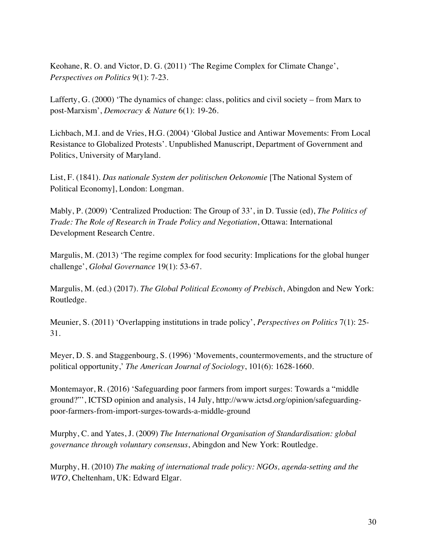Keohane, R. O. and Victor, D. G. (2011) 'The Regime Complex for Climate Change', *Perspectives on Politics* 9(1): 7-23.

Lafferty, G. (2000) 'The dynamics of change: class, politics and civil society – from Marx to post-Marxism', *Democracy & Nature* 6(1): 19-26.

Lichbach, M.I. and de Vries, H.G. (2004) 'Global Justice and Antiwar Movements: From Local Resistance to Globalized Protests'. Unpublished Manuscript, Department of Government and Politics, University of Maryland.

List, F. (1841). *Das nationale System der politischen Oekonomie* [The National System of Political Economy], London: Longman.

Mably, P. (2009) 'Centralized Production: The Group of 33', in D. Tussie (ed), *The Politics of Trade: The Role of Research in Trade Policy and Negotiation*, Ottawa: International Development Research Centre.

Margulis, M. (2013) 'The regime complex for food security: Implications for the global hunger challenge', *Global Governance* 19(1): 53-67.

Margulis, M. (ed.) (2017). *The Global Political Economy of Prebisch*, Abingdon and New York: Routledge.

Meunier, S. (2011) 'Overlapping institutions in trade policy', *Perspectives on Politics* 7(1): 25- 31.

Meyer, D. S. and Staggenbourg, S. (1996) 'Movements, countermovements, and the structure of political opportunity,' *The American Journal of Sociology*, 101(6): 1628-1660.

Montemayor, R. (2016) 'Safeguarding poor farmers from import surges: Towards a "middle ground?"', ICTSD opinion and analysis, 14 July, http://www.ictsd.org/opinion/safeguardingpoor-farmers-from-import-surges-towards-a-middle-ground

Murphy, C. and Yates, J. (2009) *The International Organisation of Standardisation: global governance through voluntary consensus*, Abingdon and New York: Routledge.

Murphy, H. (2010) *The making of international trade policy: NGOs, agenda-setting and the WTO*, Cheltenham, UK: Edward Elgar.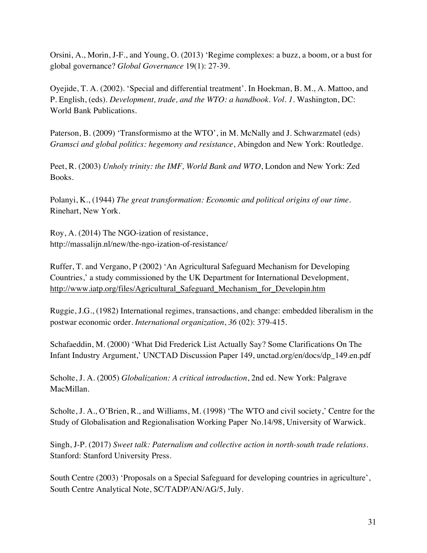Orsini, A., Morin, J-F., and Young, O. (2013) 'Regime complexes: a buzz, a boom, or a bust for global governance? *Global Governance* 19(1): 27-39.

Oyejide, T. A. (2002). 'Special and differential treatment'. In Hoekman, B. M., A. Mattoo, and P. English, (eds). *Development, trade, and the WTO: a handbook. Vol. 1*. Washington, DC: World Bank Publications.

Paterson, B. (2009) 'Transformismo at the WTO', in M. McNally and J. Schwarzmatel (eds) *Gramsci and global politics: hegemony and resistance*, Abingdon and New York: Routledge.

Peet, R. (2003) *Unholy trinity: the IMF, World Bank and WTO*, London and New York: Zed Books.

Polanyi, K., (1944) *The great transformation: Economic and political origins of our time*. Rinehart, New York.

Roy, A. (2014) The NGO-ization of resistance, http://massalijn.nl/new/the-ngo-ization-of-resistance/

Ruffer, T. and Vergano, P (2002) 'An Agricultural Safeguard Mechanism for Developing Countries,' a study commissioned by the UK Department for International Development, http://www.iatp.org/files/Agricultural\_Safeguard\_Mechanism\_for\_Developin.htm

Ruggie, J.G., (1982) International regimes, transactions, and change: embedded liberalism in the postwar economic order. *International organization*, *36* (02): 379-415.

Schafaeddin, M. (2000) 'What Did Frederick List Actually Say? Some Clarifications On The Infant Industry Argument,' UNCTAD Discussion Paper 149, unctad.org/en/docs/dp\_149.en.pdf

Scholte, J. A. (2005) *Globalization: A critical introduction*, 2nd ed. New York: Palgrave MacMillan.

Scholte, J. A., O'Brien, R., and Williams, M. (1998) 'The WTO and civil society,' Centre for the Study of Globalisation and Regionalisation Working Paper No.14/98, University of Warwick.

Singh, J-P. (2017) *Sweet talk: Paternalism and collective action in north-south trade relations.* Stanford: Stanford University Press.

South Centre (2003) 'Proposals on a Special Safeguard for developing countries in agriculture', South Centre Analytical Note, SC/TADP/AN/AG/5, July.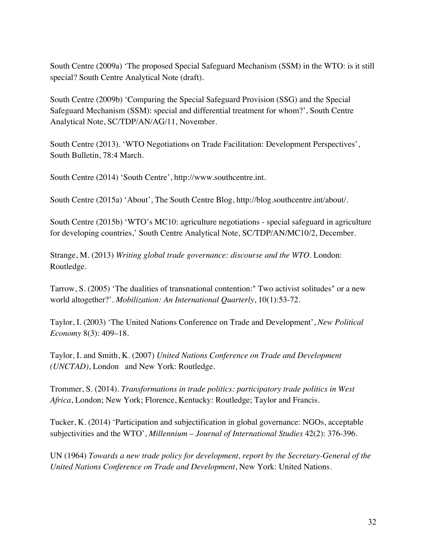South Centre (2009a) 'The proposed Special Safeguard Mechanism (SSM) in the WTO: is it still special? South Centre Analytical Note (draft).

South Centre (2009b) 'Comparing the Special Safeguard Provision (SSG) and the Special Safeguard Mechanism (SSM): special and differential treatment for whom?', South Centre Analytical Note, SC/TDP/AN/AG/11, November.

South Centre (2013). 'WTO Negotiations on Trade Facilitation: Development Perspectives', South Bulletin, 78:4 March.

South Centre (2014) 'South Centre', http://www.southcentre.int.

South Centre (2015a) 'About', The South Centre Blog, http://blog.southcentre.int/about/.

South Centre (2015b) 'WTO's MC10: agriculture negotiations - special safeguard in agriculture for developing countries,' South Centre Analytical Note, SC/TDP/AN/MC10/2, December.

Strange, M. (2013) *Writing global trade governance: discourse and the WTO*. London: Routledge.

Tarrow, S. (2005) 'The dualities of transnational contention:" Two activist solitudes" or a new world altogether?'. *Mobilization: An International Quarterly*, 10(1):53-72.

Taylor, I. (2003) 'The United Nations Conference on Trade and Development', *New Political Economy* 8(3): 409–18.

Taylor, I. and Smith, K. (2007) *United Nations Conference on Trade and Development (UNCTAD)*, London and New York: Routledge.

Trommer, S. (2014). *Transformations in trade politics: participatory trade politics in West Africa*, London; New York; Florence, Kentucky: Routledge; Taylor and Francis.

Tucker, K. (2014) 'Participation and subjectification in global governance: NGOs, acceptable subjectivities and the WTO', *Millennium – Journal of International Studies* 42(2): 376-396.

UN (1964) *Towards a new trade policy for development, report by the Secretary-General of the United Nations Conference on Trade and Development*, New York: United Nations.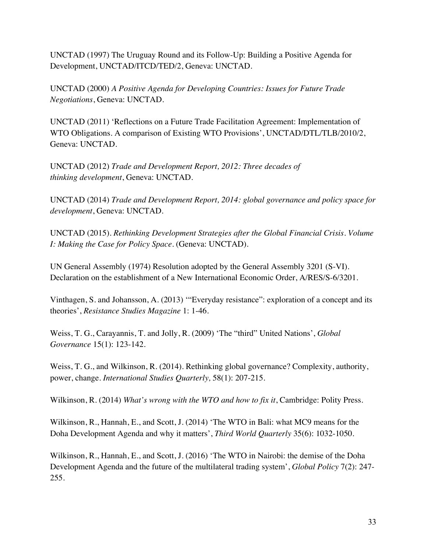UNCTAD (1997) The Uruguay Round and its Follow-Up: Building a Positive Agenda for Development, UNCTAD/ITCD/TED/2, Geneva: UNCTAD.

UNCTAD (2000) *A Positive Agenda for Developing Countries: Issues for Future Trade Negotiations*, Geneva: UNCTAD.

UNCTAD (2011) 'Reflections on a Future Trade Facilitation Agreement: Implementation of WTO Obligations. A comparison of Existing WTO Provisions', UNCTAD/DTL/TLB/2010/2, Geneva: UNCTAD.

UNCTAD (2012) *Trade and Development Report, 2012: Three decades of thinking development*, Geneva: UNCTAD.

UNCTAD (2014) *Trade and Development Report, 2014: global governance and policy space for development*, Geneva: UNCTAD.

UNCTAD (2015). *Rethinking Development Strategies after the Global Financial Crisis. Volume I: Making the Case for Policy Space*. (Geneva: UNCTAD).

UN General Assembly (1974) Resolution adopted by the General Assembly 3201 (S-VI). Declaration on the establishment of a New International Economic Order, A/RES/S-6/3201.

Vinthagen, S. and Johansson, A. (2013) '"Everyday resistance": exploration of a concept and its theories', *Resistance Studies Magazine* 1: 1-46.

Weiss, T. G., Carayannis, T. and Jolly, R. (2009) 'The "third" United Nations', *Global Governance* 15(1): 123-142.

Weiss, T. G., and Wilkinson, R. (2014). Rethinking global governance? Complexity, authority, power, change. *International Studies Quarterly,* 58(1): 207-215.

Wilkinson, R. (2014) *What's wrong with the WTO and how to fix it*, Cambridge: Polity Press.

Wilkinson, R., Hannah, E., and Scott, J. (2014) 'The WTO in Bali: what MC9 means for the Doha Development Agenda and why it matters', *Third World Quarterly* 35(6): 1032-1050.

Wilkinson, R., Hannah, E., and Scott, J. (2016) 'The WTO in Nairobi: the demise of the Doha Development Agenda and the future of the multilateral trading system', *Global Policy* 7(2): 247- 255.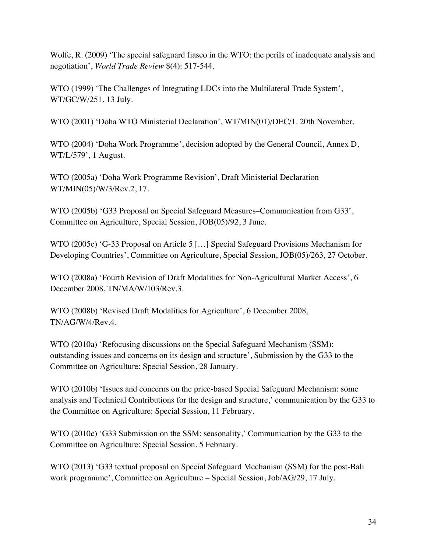Wolfe, R. (2009) 'The special safeguard fiasco in the WTO: the perils of inadequate analysis and negotiation', *World Trade Review* 8(4): 517-544.

WTO (1999) 'The Challenges of Integrating LDCs into the Multilateral Trade System', WT/GC/W/251, 13 July.

WTO (2001) 'Doha WTO Ministerial Declaration', WT/MIN(01)/DEC/1. 20th November.

WTO (2004) 'Doha Work Programme', decision adopted by the General Council, Annex D, WT/L/579', 1 August.

WTO (2005a) 'Doha Work Programme Revision', Draft Ministerial Declaration WT/MIN(05)/W/3/Rev.2, 17.

WTO (2005b) 'G33 Proposal on Special Safeguard Measures–Communication from G33', Committee on Agriculture, Special Session, JOB(05)/92, 3 June.

WTO (2005c) 'G-33 Proposal on Article 5 […] Special Safeguard Provisions Mechanism for Developing Countries', Committee on Agriculture, Special Session, JOB(05)/263, 27 October.

WTO (2008a) 'Fourth Revision of Draft Modalities for Non-Agricultural Market Access', 6 December 2008, TN/MA/W/103/Rev.3.

WTO (2008b) 'Revised Draft Modalities for Agriculture', 6 December 2008, TN/AG/W/4/Rev.4.

WTO (2010a) 'Refocusing discussions on the Special Safeguard Mechanism (SSM): outstanding issues and concerns on its design and structure', Submission by the G33 to the Committee on Agriculture: Special Session, 28 January.

WTO (2010b) 'Issues and concerns on the price-based Special Safeguard Mechanism: some analysis and Technical Contributions for the design and structure,' communication by the G33 to the Committee on Agriculture: Special Session, 11 February.

WTO (2010c) 'G33 Submission on the SSM: seasonality,' Communication by the G33 to the Committee on Agriculture: Special Session. 5 February.

WTO (2013) 'G33 textual proposal on Special Safeguard Mechanism (SSM) for the post-Bali work programme', Committee on Agriculture – Special Session, Job/AG/29, 17 July.